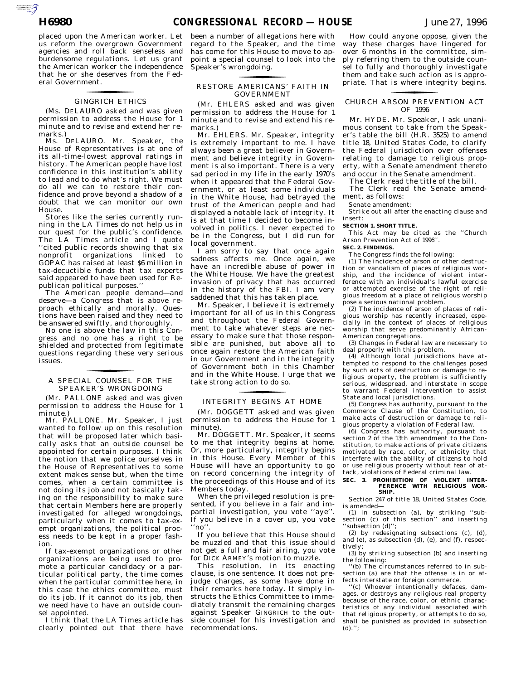AUTOROTOMICALE

placed upon the American worker. Let us reform the overgrown Government agencies and roll back senseless and burdensome regulations. Let us grant the American worker the independence that he or she deserves from the Federal Government.

# GINGRICH ETHICS for the contract of the contract of

(Ms. DELAURO asked and was given permission to address the House for 1 minute and to revise and extend her remarks.)

Ms. DELAURO. Mr. Speaker, the House of Representatives is at one of its all-time-lowest approval ratings in history. The American people have lost confidence in this institution's ability to lead and to do what's right. We must do all we can to restore their confidence and prove beyond a shadow of a doubt that we can monitor our own House.

Stores like the series currently running in the LA Times do not help us in our quest for the public's confidence. The LA Times article and I quote ''cited public records showing that six nonprofit organizations linked to GOPAC has raised at least \$6 million in tax-decuctible funds that tax experts said appeared to have been used for Republican political purposes.''

The American people demand—and deserve—a Congress that is above reproach ethically and morally. Questions have been raised and they need to be answered swiftly, and thoroughly.

No one is above the law in this Congress and no one has a right to be shielded and protected from legitimate questions regarding these very serious issues.

## A SPECIAL COUNSEL FOR THE SPEAKER'S WRONGDOING for the control of the control of

(Mr. PALLONE asked and was given permission to address the House for 1 minute.)

Mr. PALLONE. Mr. Speaker, I just wanted to follow up on this resolution that will be proposed later which basically asks that an outside counsel be appointed for certain purposes. I think the notion that we police ourselves in the House of Representatives to some extent makes sense but, when the time comes, when a certain committee is not doing its job and not basically taking on the responsibility to make sure that certain Members here are properly investigated for alleged wrongdoings, particularly when it comes to tax-exempt organizations, the political process needs to be kept in a proper fashion.

If tax-exempt organizations or other organizations are being used to promote a particular candidacy or a particular political party, the time comes when the particular committee here, in this case the ethics committee, must do its job. If it cannot do its job, then we need have to have an outside counsel appointed.

I think that the LA Times article has clearly pointed out that there have

been a number of allegations here with regard to the Speaker, and the time has come for this House to move to appoint a special counsel to look into the Speaker's wrongdoing.

## RESTORE AMERICANS' FAITH IN GOVERNMENT for the control of the control of

(Mr. EHLERS asked and was given permission to address the House for 1 minute and to revise and extend his remarks.)

Mr. EHLERS. Mr. Speaker, integrity is extremely important to me. I have always been a great believer in Government and believe integrity in Government is also important. There is a very sad period in my life in the early 1970's when it appeared that the Federal Government, or at least some individuals in the White House, had betrayed the trust of the American people and had displayed a notable lack of integrity. It is at that time I decided to become involved in politics. I never expected to be in the Congress, but I did run for local government.

I am sorry to say that once again sadness affects me. Once again, we have an incredible abuse of power in the White House. We have the greatest invasion of privacy that has occurred in the history of the FBI. I am very saddened that this has taken place.

Mr. Speaker, I believe it is extremely important for all of us in this Congress and throughout the Federal Government to take whatever steps are necessary to make sure that those responsible are punished, but above all to once again restore the American faith in our Government and in the integrity of Government both in this Chamber and in the White House. I urge that we take strong action to do so.

# INTEGRITY BEGINS AT HOME for the control of the control of

(Mr. DOGGETT asked and was given permission to address the House for 1 minute).

Mr. DOGGETT. Mr. Speaker, it seems to me that integrity begins at home. Or, more particularly, integrity begins in this House. Every Member of this House will have an opportunity to go on record concerning the integrity of the proceedings of this House and of its Members today.

When the privileged resolution is presented, if you believe in a fair and impartial investigation, you vote ''aye''. If you believe in a cover up, you vote ''no''.

If you believe that this House should be muzzled and that this issue should not get a full and fair airing, you vote for DICK ARMEY's motion to muzzle.

This resolution, in its enacting clause, is one sentence. It does not prejudge charges, as some have done in their remarks here today. It simply instructs the Ethics Committee to immediately transmit the remaining charges against Speaker GINGRICH to the outside counsel for his investigation and recommendations.

How could anyone oppose, given the way these charges have lingered for over 6 months in the committee, simply referring them to the outside counsel to fully and thoroughly investigate them and take such action as is appropriate. That is where integrity begins.

## CHURCH ARSON PREVENTION ACT for the control of the control of OF 1996

Mr. HYDE. Mr. Speaker, I ask unanimous consent to take from the Speaker's table the bill (H.R. 3525) to amend title 18, United States Code, to clarify the Federal jurisdiction over offenses relating to damage to religious property, with a Senate amendment thereto and occur in the Senate amendment.

The Clerk read the title of the bill.

The Clerk read the Senate amendment, as follows:

Senate amendment:

Strike out all after the enacting clause and insert:

### **SECTION 1. SHORT TITLE.**

This Act may be cited as the ''Church Arson Prevention Act of 1996''.

**SEC. 2. FINDINGS.**

The Congress finds the following:

(1) The incidence of arson or other destruction or vandalism of places of religious worship, and the incidence of violent interference with an individual's lawful exercise or attempted exercise of the right of religious freedom at a place of religious worship pose a serious national problem.

(2) The incidence of arson of places of religious worship has recently increased, especially in the context of places of religious worship that serve predominantly African-American congregations. (3) Changes in Federal law are necessary to

deal properly with this problem.

(4) Although local jurisdictions have attempted to respond to the challenges posed by such acts of destruction or damage to religious property, the problem is sufficiently serious, widespread, and interstate in scope to warrant Federal intervention to assist State and local jurisdictions.

(5) Congress has authority, pursuant to the Commerce Clause of the Constitution, to make acts of destruction or damage to religious property a violation of Federal law.

(6) Congress has authority, pursuant to section 2 of the 13th amendment to the Constitution, to make actions of private citizens motivated by race, color, or ethnicity that interfere with the ability of citizens to hold or use religious property without fear of attack, violations of Federal criminal law.

# **SEC. 3. PROHIBITION OF VIOLENT INTER-FERENCE WITH RELIGIOUS WOR-SHIP.**

Section 247 of title 18, United States Code, is amended—

(1) in subsection (a), by striking ''subsection (c) of this section'' and inserting 'subsection (d)'':

(2) by redesignating subsections (c), (d), and (e), as subsection (d), (e), and (f), respectively;

(3) by striking subsection (b) and inserting the following:

''(b) The circumstances referred to in subsection (a) are that the offense is in or affects interstate or foreign commerce.

''(c) Whoever intentionally defaces, damages, or destroys any religious real property because of the race, color, or ethnic characteristics of any individual associated with that religious property, or attempts to do so, shall be punished as provided in subsection (d).'';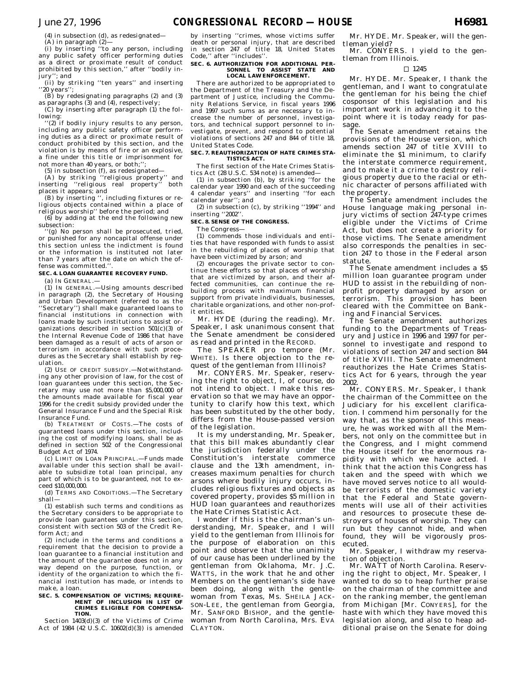(4) in subsection (d), as redesignated—

(A) in paragraph (2)— (i) by inserting ''to any person, including any public safety officer performing duties as a direct or proximate result of conduct prohibited by this section,'' after ''bodily injury''; and

(ii) by striking ''ten years'' and inserting ''20 years'';

(B) by redesignating paragraphs (2) and (3) as paragraphs (3) and (4), respectively; (C) by inserting after paragraph (1) the fol-

lowing: ..........<br>'(2) if bodily injury results to any person,

including any public safety officer performing duties as a direct or proximate result of conduct prohibited by this section, and the violation is by means of fire or an explosive, a fine under this title or imprisonment for not more than 40 years, or both;'';

(5) in subsection (f), as redesignated—

(A) by striking ''religious property'' and inserting ''religious real property'' both places it appears; and

(B) by inserting '', including fixtures or religious objects contained within a place of religious worship'' before the period; and

(6) by adding at the end the following new subsection:

'(g) No person shall be prosecuted, tried, or punished for any noncapital offense under this section unless the indictment is found or the information is instituted not later than 7 years after the date on which the offense was committed."

#### **SEC. 4. LOAN GUARANTEE RECOVERY FUND.**

(a) IN GENERAL.—

(1) IN GENERAL.—Using amounts described in paragraph (2), the Secretary of Housing and Urban Development (referred to as the ''Secretary'') shall make guaranteed loans to financial institutions in connection with loans made by such institutions to assist organizations described in section 501(c)(3) of the Internal Revenue Code of 1986 that have been damaged as a result of acts of arson or terrorism in accordance with such procedures as the Secretary shall establish by regulation.

(2) USE OF CREDIT SUBSIDY.—Notwithstanding any other provision of law, for the cost of loan guarantees under this section, the Secretary may use not more than \$5,000,000 of the amounts made available for fiscal year 1996 for the credit subsidy provided under the General Insurance Fund and the Special Risk Insurance Fund.

(b) TREATMENT OF COSTS.—The costs of guaranteed loans under this section, including the cost of modifying loans, shall be as defined in section 502 of the Congressional Budget Act of 1974.

(c) LIMIT ON LOAN PRINCIPAL.—Funds made available under this section shall be available to subsidize total loan principal, any part of which is to be guaranteed, not to exceed \$10,000,000.

(d) TERMS AND CONDITIONS.—The Secretary shall—

(1) establish such terms and conditions as the Secretary considers to be appropriate to provide loan guarantees under this section, consistent with section 503 of the Credit Reform Act; and

(2) include in the terms and conditions a requirement that the decision to provide a loan guarantee to a financial institution and the amount of the guarantee does not in any way depend on the purpose, function, or identity of the organization to which the financial institution has made, or intends to make, a loan.

#### **SEC. 5. COMPENSATION OF VICTIMS; REQUIRE-MENT OF INCLUSION IN LIST OF CRIMES ELIGIBLE FOR COMPENSA-TION.**

Section 1403(d)(3) of the Victims of Crime Act of 1984 (42 U.S.C. 10602(d)(3)) is amended

by inserting ''crimes, whose victims suffer death or personal injury, that are described in section 247 of title 18, United States Code,'' after ''includes''.

# **SEC. 6. AUTHORIZATION FOR ADDITIONAL PER-SONNEL TO ASSIST STATE AND LOCAL LAW ENFORCEMENT.**

There are authorized to be appropriated to the Department of the Treasury and the Department of Justice, including the Community Relations Service, in fiscal years 1996 and 1997 such sums as are necessary to increase the number of personnel, investigators, and technical support personnel to investigate, prevent, and respond to potential violations of sections 247 and 844 of title 18, United States Code.

#### **SEC. 7. REAUTHORIZATION OF HATE CRIMES STA-TISTICS ACT.**

The first section of the Hate Crimes Statistics Act (28 U.S.C. 534 note) is amended—

(1) in subsection (b), by striking ''for the calendar year 1990 and each of the succeeding 4 calendar years'' and inserting ''for each calendar year''; and

(2) in subsection (c), by striking ''1994'' and inserting ''2002''.

### **SEC. 8. SENSE OF THE CONGRESS.**

The Congress—

(1) commends those individuals and entities that have responded with funds to assist in the rebuilding of places of worship that have been victimized by arson; and

(2) encourages the private sector to continue these efforts so that places of worship that are victimized by arson, and their affected communities, can continue the rebuilding process with maximum financial support from private individuals, businesses, charitable organizations, and other non-profit entities.

Mr. HYDE (during the reading). Mr. Speaker, I ask unanimous consent that the Senate amendment be considered as read and printed in the RECORD.

The SPEAKER pro tempore (Mr. WHITE). Is there objection to the request of the gentleman from Illinois?

Mr. CONYERS. Mr. Speaker, reserving the right to object, I, of course, do not intend to object. I make this reservation so that we may have an opportunity to clarify how this text, which has been substituted by the other body, differs from the House-passed version of the legislation.

It is my understanding, Mr. Speaker, that this bill makes abundantly clear the jurisdiction federally under the Constitution's interstate commerce clause and the 13th amendment, increases maximum penalties for church arsons where bodily injury occurs, includes religious fixtures and objects as covered property, provides \$5 million in HUD loan guarantees and reauthorizes the Hate Crimes Statistic Act.

I wonder if this is the chairman's understanding, Mr. Speaker, and I will yield to the gentleman from Illinois for the purpose of elaboration on this point and observe that the unanimity of our cause has been underlined by the gentleman from Oklahoma, Mr. J.C. WATTS, in the work that he and other Members on the gentleman's side have been doing, along with the gentlewoman from Texas, Ms. SHEILA JACK-SON-LEE, the gentleman from Georgia, Mr. SANFORD BISHOP, and the gentlewoman from North Carolina, Mrs. EVA CLAYTON.

Mr. HYDE. Mr. Speaker, will the gentleman yield?

Mr. CONYERS. I yield to the gentleman from Illinois.

#### $\Box$  1245

Mr. HYDE. Mr. Speaker, I thank the gentleman, and I want to congratulate the gentleman for his being the chief cosponsor of this legislation and his important work in advancing it to the point where it is today ready for passage.

The Senate amendment retains the provisions of the House version, which amends section 247 of title XVIII to eliminate the \$1 minimum, to clarify the interstate commerce requirement, and to make it a crime to destroy religious property due to the racial or ethnic character of persons affiliated with the property.

The Senate amendment includes the House language making personal injury victims of section 247-type crimes eligible under the Victims of Crime Act, but does not create a priority for those victims. The Senate amendment also corresponds the penalties in section 247 to those in the Federal arson statute.

The Senate amendment includes a \$5 million loan guarantee program under HUD to assist in the rebuilding of nonprofit property damaged by arson or terrorism. This provision has been cleared with the Committee on Banking and Financial Services.

The Senate amendment authorizes funding to the Departments of Treasury and Justice in 1996 and 1997 for personnel to investigate and respond to violations of section 247 and section 844 of title XVIII. The Senate amendment reauthorizes the Hate Crimes Statistics Act for 6 years, through the year 2002.

Mr. CONYERS. Mr. Speaker, I thank the chairman of the Committee on the Judiciary for his excellent clarification. I commend him personally for the way that, as the sponsor of this measure, he was worked with all the Members, not only on the committee but in the Congress, and I might commend the House itself for the enormous rapidity with which we have acted. I think that the action this Congress has taken and the speed with which we have moved serves notice to all wouldbe terrorists of the domestic variety that the Federal and State governments will use all of their activities and resources to prosecute these destroyers of houses of worship. They can run but they cannot hide, and when found, they will be vigorously prosecuted.

Mr. Speaker, I withdraw my reservation of objection.

Mr. WATT of North Carolina. Reserving the right to object, Mr. Speaker, I wanted to do so to heap further praise on the chairman of the committee and on the ranking member, the gentleman from Michigan [Mr. CONYERS], for the haste with which they have moved this legislation along, and also to heap additional praise on the Senate for doing